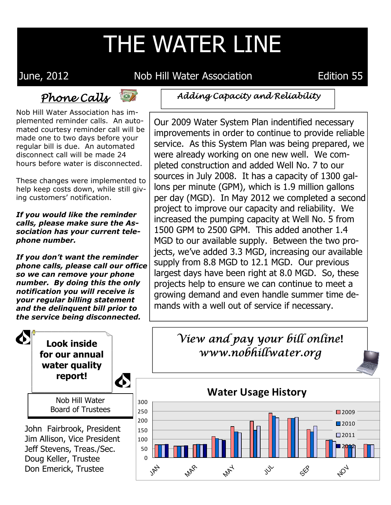## THE WATER LINE

June, 2012 Nob Hill Water Association Edition 55

## Phone Calls



Nob Hill Water Association has implemented reminder calls. An automated courtesy reminder call will be made one to two days before your regular bill is due. An automated disconnect call will be made 24 hours before water is disconnected.

These changes were implemented to help keep costs down, while still giving customers' notification.

*If you would like the reminder calls, please make sure the Association has your current telephone number.* 

*If you don't want the reminder phone calls, please call our office so we can remove your phone number. By doing this the only notification you will receive is your regular billing statement and the delinquent bill prior to the service being disconnected.* 

Adding Capacity and Reliability

Our 2009 Water System Plan indentified necessary improvements in order to continue to provide reliable service. As this System Plan was being prepared, we were already working on one new well. We completed construction and added Well No. 7 to our sources in July 2008. It has a capacity of 1300 gallons per minute (GPM), which is 1.9 million gallons per day (MGD). In May 2012 we completed a second project to improve our capacity and reliability. We increased the pumping capacity at Well No. 5 from 1500 GPM to 2500 GPM. This added another 1.4 MGD to our available supply. Between the two projects, we've added 3.3 MGD, increasing our available supply from 8.8 MGD to 12.1 MGD. Our previous largest days have been right at 8.0 MGD. So, these projects help to ensure we can continue to meet a growing demand and even handle summer time demands with a well out of service if necessary.